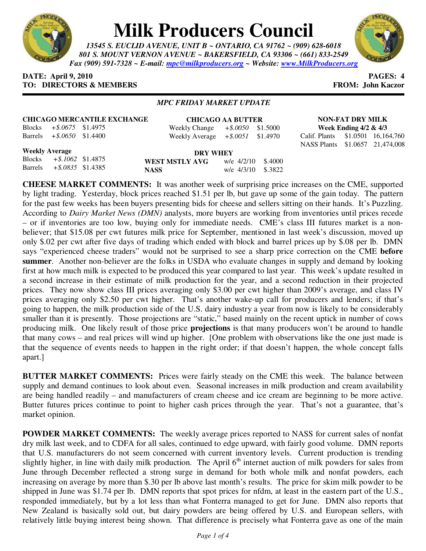

# **Milk Producers Council**

*13545 S. EUCLID AVENUE, UNIT B ~ ONTARIO, CA 91762 ~ (909) 628-6018 801 S. MOUNT VERNON AVENUE ~ BAKERSFIELD, CA 93306 ~ (661) 833-2549 Fax (909) 591-7328 ~ E-mail: mpc@milkproducers.org ~ Website: www.MilkProducers.org*



## **DATE: April 9, 2010 PAGES: 4 TO: DIRECTORS & MEMBERS FROM: John Kaczor**

Blocks *+\$.1062* \$1.4875 Barrels *+\$.0835* \$1.4385

## *MPC FRIDAY MARKET UPDATE*

| <b>CHICAGO MERCANTILE EXCHANGE</b> |                              |                             | <b>CHICAGO AA BUTTER</b>            |  |  | <b>NON-FAT DRY MILK</b>           |                          |  |
|------------------------------------|------------------------------|-----------------------------|-------------------------------------|--|--|-----------------------------------|--------------------------|--|
|                                    |                              | Blocks $+$ \$.0675 \$1.4975 | Weekly Change $+$ \$.0050 \$1.5000  |  |  |                                   | Week Ending $4/2 \& 4/3$ |  |
|                                    | Barrels $+$ \$.0650 \$1.4400 |                             | Weekly Average $+$ \$.0051 \$1.4970 |  |  | Calif. Plants \$1.0501 16,164,760 |                          |  |
|                                    |                              |                             |                                     |  |  | NASS Plants \$1.0657 21,474,008   |                          |  |
|                                    | <b>Weekly Average</b>        |                             | DRY WHEY                            |  |  |                                   |                          |  |

|                | <b>DRY WHEY</b>      |  |  |  |  |  |
|----------------|----------------------|--|--|--|--|--|
| WEST MSTLY AVG | w/e $4/2/10$ \$.4000 |  |  |  |  |  |
| <b>NASS</b>    | w/e 4/3/10 \$.3822   |  |  |  |  |  |

**CHEESE MARKET COMMENTS:** It was another week of surprising price increases on the CME, supported by light trading. Yesterday, block prices reached \$1.51 per lb, but gave up some of the gain today. The pattern for the past few weeks has been buyers presenting bids for cheese and sellers sitting on their hands. It's Puzzling. According to *Dairy Market News (DMN)* analysts, more buyers are working from inventories until prices recede – or if inventories are too low, buying only for immediate needs. CME's class III futures market is a nonbeliever; that \$15.08 per cwt futures milk price for September, mentioned in last week's discussion, moved up only \$.02 per cwt after five days of trading which ended with block and barrel prices up by \$.08 per lb. DMN says "experienced cheese traders" would not be surprised to see a sharp price correction on the CME **before summer**. Another non-believer are the folks in USDA who evaluate changes in supply and demand by looking first at how much milk is expected to be produced this year compared to last year. This week's update resulted in a second increase in their estimate of milk production for the year, and a second reduction in their projected prices. They now show class III prices averaging only \$3.00 per cwt higher than 2009's average, and class IV prices averaging only \$2.50 per cwt higher. That's another wake-up call for producers and lenders; if that's going to happen, the milk production side of the U.S. dairy industry a year from now is likely to be considerably smaller than it is presently. Those projections are "static," based mainly on the recent uptick in number of cows producing milk. One likely result of those price **projections** is that many producers won't be around to handle that many cows – and real prices will wind up higher. [One problem with observations like the one just made is that the sequence of events needs to happen in the right order; if that doesn't happen, the whole concept falls apart.]

**BUTTER MARKET COMMENTS:** Prices were fairly steady on the CME this week. The balance between supply and demand continues to look about even. Seasonal increases in milk production and cream availability are being handled readily – and manufacturers of cream cheese and ice cream are beginning to be more active. Butter futures prices continue to point to higher cash prices through the year. That's not a guarantee, that's market opinion.

**POWDER MARKET COMMENTS:** The weekly average prices reported to NASS for current sales of nonfat dry milk last week, and to CDFA for all sales, continued to edge upward, with fairly good volume. DMN reports that U.S. manufacturers do not seem concerned with current inventory levels. Current production is trending slightly higher, in line with daily milk production. The April  $6<sup>th</sup>$  internet auction of milk powders for sales from June through December reflected a strong surge in demand for both whole milk and nonfat powders, each increasing on average by more than \$.30 per lb above last month's results. The price for skim milk powder to be shipped in June was \$1.74 per lb. DMN reports that spot prices for nfdm, at least in the eastern part of the U.S., responded immediately, but by a lot less than what Fonterra managed to get for June. DMN also reports that New Zealand is basically sold out, but dairy powders are being offered by U.S. and European sellers, with relatively little buying interest being shown. That difference is precisely what Fonterra gave as one of the main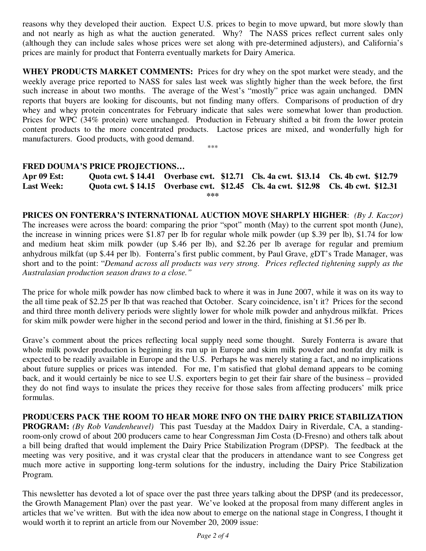reasons why they developed their auction. Expect U.S. prices to begin to move upward, but more slowly than and not nearly as high as what the auction generated. Why? The NASS prices reflect current sales only (although they can include sales whose prices were set along with pre-determined adjusters), and California's prices are mainly for product that Fonterra eventually markets for Dairy America.

**WHEY PRODUCTS MARKET COMMENTS:** Prices for dry whey on the spot market were steady, and the weekly average price reported to NASS for sales last week was slightly higher than the week before, the first such increase in about two months. The average of the West's "mostly" price was again unchanged. DMN reports that buyers are looking for discounts, but not finding many offers. Comparisons of production of dry whey and whey protein concentrates for February indicate that sales were somewhat lower than production. Prices for WPC (34% protein) were unchanged. Production in February shifted a bit from the lower protein content products to the more concentrated products. Lactose prices are mixed, and wonderfully high for manufacturers. Good products, with good demand.

\*\*\*

## **FRED DOUMA'S PRICE PROJECTIONS…**

**Apr 09 Est: Quota cwt. \$ 14.41 Overbase cwt. \$12.71 Cls. 4a cwt. \$13.14 Cls. 4b cwt. \$12.79 Last Week: Quota cwt. \$ 14.15 Overbase cwt. \$12.45 Cls. 4a cwt. \$12.98 Cls. 4b cwt. \$12.31 \*\*\*** 

**PRICES ON FONTERRA'S INTERNATIONAL AUCTION MOVE SHARPLY HIGHER**: *(By J. Kaczor)* The increases were across the board: comparing the prior "spot" month (May) to the current spot month (June), the increase in winning prices were \$1.87 per lb for regular whole milk powder (up \$.39 per lb), \$1.74 for low and medium heat skim milk powder (up \$.46 per lb), and \$2.26 per lb average for regular and premium anhydrous milkfat (up \$.44 per lb). Fonterra's first public comment, by Paul Grave, *g*DT's Trade Manager, was short and to the point: "*Demand across all products was very strong. Prices reflected tightening supply as the Australasian production season draws to a close."* 

The price for whole milk powder has now climbed back to where it was in June 2007, while it was on its way to the all time peak of \$2.25 per lb that was reached that October. Scary coincidence, isn't it? Prices for the second and third three month delivery periods were slightly lower for whole milk powder and anhydrous milkfat. Prices for skim milk powder were higher in the second period and lower in the third, finishing at \$1.56 per lb.

Grave's comment about the prices reflecting local supply need some thought. Surely Fonterra is aware that whole milk powder production is beginning its run up in Europe and skim milk powder and nonfat dry milk is expected to be readily available in Europe and the U.S. Perhaps he was merely stating a fact, and no implications about future supplies or prices was intended. For me, I'm satisfied that global demand appears to be coming back, and it would certainly be nice to see U.S. exporters begin to get their fair share of the business – provided they do not find ways to insulate the prices they receive for those sales from affecting producers' milk price formulas.

**PRODUCERS PACK THE ROOM TO HEAR MORE INFO ON THE DAIRY PRICE STABILIZATION PROGRAM:** *(By Rob Vandenheuvel)* This past Tuesday at the Maddox Dairy in Riverdale, CA, a standingroom-only crowd of about 200 producers came to hear Congressman Jim Costa (D-Fresno) and others talk about a bill being drafted that would implement the Dairy Price Stabilization Program (DPSP). The feedback at the meeting was very positive, and it was crystal clear that the producers in attendance want to see Congress get much more active in supporting long-term solutions for the industry, including the Dairy Price Stabilization Program.

This newsletter has devoted a lot of space over the past three years talking about the DPSP (and its predecessor, the Growth Management Plan) over the past year. We've looked at the proposal from many different angles in articles that we've written. But with the idea now about to emerge on the national stage in Congress, I thought it would worth it to reprint an article from our November 20, 2009 issue: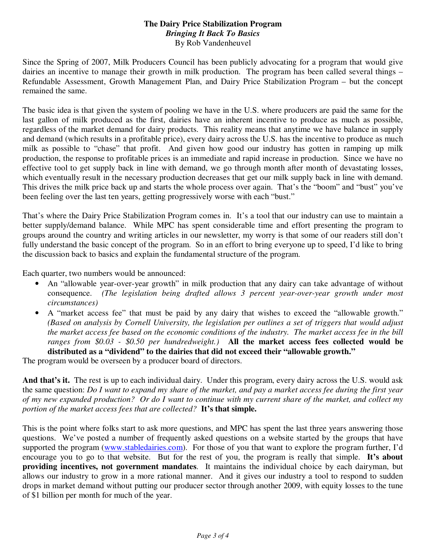## **The Dairy Price Stabilization Program**  *Bringing It Back To Basics*  By Rob Vandenheuvel

Since the Spring of 2007, Milk Producers Council has been publicly advocating for a program that would give dairies an incentive to manage their growth in milk production. The program has been called several things – Refundable Assessment, Growth Management Plan, and Dairy Price Stabilization Program – but the concept remained the same.

The basic idea is that given the system of pooling we have in the U.S. where producers are paid the same for the last gallon of milk produced as the first, dairies have an inherent incentive to produce as much as possible, regardless of the market demand for dairy products. This reality means that anytime we have balance in supply and demand (which results in a profitable price), every dairy across the U.S. has the incentive to produce as much milk as possible to "chase" that profit. And given how good our industry has gotten in ramping up milk production, the response to profitable prices is an immediate and rapid increase in production. Since we have no effective tool to get supply back in line with demand, we go through month after month of devastating losses, which eventually result in the necessary production decreases that get our milk supply back in line with demand. This drives the milk price back up and starts the whole process over again. That's the "boom" and "bust" you've been feeling over the last ten years, getting progressively worse with each "bust."

That's where the Dairy Price Stabilization Program comes in. It's a tool that our industry can use to maintain a better supply/demand balance. While MPC has spent considerable time and effort presenting the program to groups around the country and writing articles in our newsletter, my worry is that some of our readers still don't fully understand the basic concept of the program. So in an effort to bring everyone up to speed, I'd like to bring the discussion back to basics and explain the fundamental structure of the program.

Each quarter, two numbers would be announced:

- An "allowable year-over-year growth" in milk production that any dairy can take advantage of without consequence. *(The legislation being drafted allows 3 percent year-over-year growth under most circumstances)*
- A "market access fee" that must be paid by any dairy that wishes to exceed the "allowable growth." *(Based on analysis by Cornell University, the legislation per outlines a set of triggers that would adjust the market access fee based on the economic conditions of the industry. The market access fee in the bill ranges from \$0.03 - \$0.50 per hundredweight.)* **All the market access fees collected would be distributed as a "dividend" to the dairies that did not exceed their "allowable growth."**

The program would be overseen by a producer board of directors.

**And that's it.** The rest is up to each individual dairy. Under this program, every dairy across the U.S. would ask the same question: *Do I want to expand my share of the market, and pay a market access fee during the first year of my new expanded production? Or do I want to continue with my current share of the market, and collect my portion of the market access fees that are collected?* **It's that simple.**

This is the point where folks start to ask more questions, and MPC has spent the last three years answering those questions. We've posted a number of frequently asked questions on a website started by the groups that have supported the program (www.stabledairies.com). For those of you that want to explore the program further, I'd encourage you to go to that website. But for the rest of you, the program is really that simple. **It's about providing incentives, not government mandates**. It maintains the individual choice by each dairyman, but allows our industry to grow in a more rational manner. And it gives our industry a tool to respond to sudden drops in market demand without putting our producer sector through another 2009, with equity losses to the tune of \$1 billion per month for much of the year.